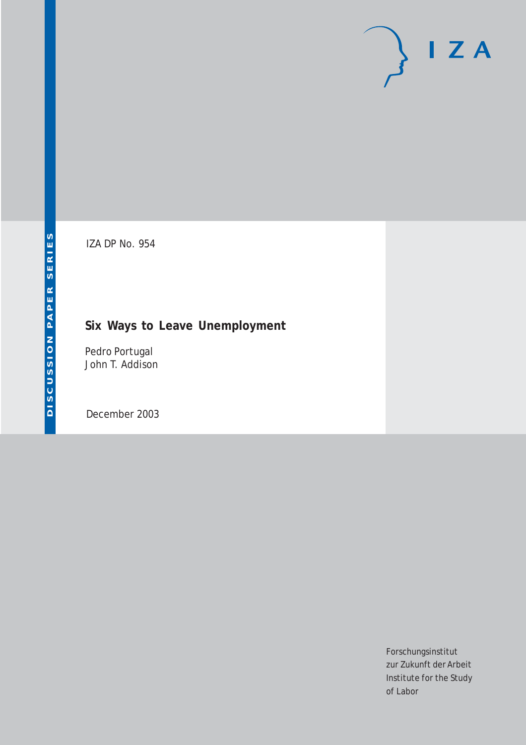# $I Z A$

IZA DP No. 954

## **Six Ways to Leave Unemployment**

Pedro Portugal John T. Addison

December 2003

Forschungsinstitut zur Zukunft der Arbeit Institute for the Study of Labor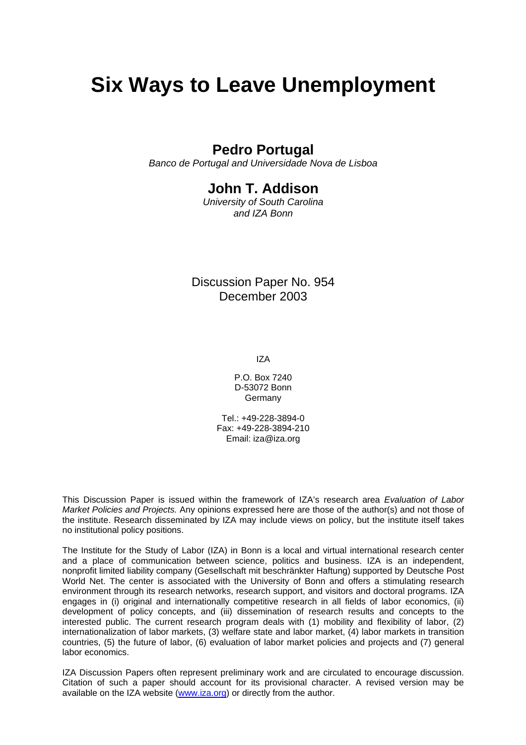# **Six Ways to Leave Unemployment**

## **Pedro Portugal**

*Banco de Portugal and Universidade Nova de Lisboa* 

### **John T. Addison**

*University of South Carolina and IZA Bonn* 

Discussion Paper No. 954 December 2003

IZA

P.O. Box 7240 D-53072 Bonn **Germany** 

 $Tel + 49-228-3894-0$ Fax: +49-228-3894-210 Email: [iza@iza.org](mailto:iza@iza.org)

This Discussion Paper is issued within the framework of IZA's research area *Evaluation of Labor Market Policies and Projects.* Any opinions expressed here are those of the author(s) and not those of the institute. Research disseminated by IZA may include views on policy, but the institute itself takes no institutional policy positions.

The Institute for the Study of Labor (IZA) in Bonn is a local and virtual international research center and a place of communication between science, politics and business. IZA is an independent, nonprofit limited liability company (Gesellschaft mit beschränkter Haftung) supported by Deutsche Post World Net. The center is associated with the University of Bonn and offers a stimulating research environment through its research networks, research support, and visitors and doctoral programs. IZA engages in (i) original and internationally competitive research in all fields of labor economics, (ii) development of policy concepts, and (iii) dissemination of research results and concepts to the interested public. The current research program deals with (1) mobility and flexibility of labor, (2) internationalization of labor markets, (3) welfare state and labor market, (4) labor markets in transition countries, (5) the future of labor, (6) evaluation of labor market policies and projects and (7) general labor economics.

IZA Discussion Papers often represent preliminary work and are circulated to encourage discussion. Citation of such a paper should account for its provisional character. A revised version may be available on the IZA website ([www.iza.org](http://www.iza.org/)) or directly from the author.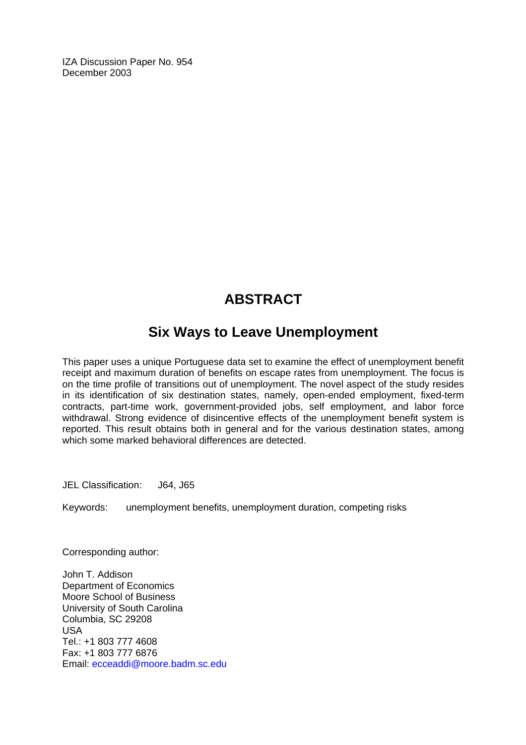IZA Discussion Paper No. 954 December 2003

## **ABSTRACT**

## **Six Ways to Leave Unemployment**

This paper uses a unique Portuguese data set to examine the effect of unemployment benefit receipt and maximum duration of benefits on escape rates from unemployment. The focus is on the time profile of transitions out of unemployment. The novel aspect of the study resides in its identification of six destination states, namely, open-ended employment, fixed-term contracts, part-time work, government-provided jobs, self employment, and labor force withdrawal. Strong evidence of disincentive effects of the unemployment benefit system is reported. This result obtains both in general and for the various destination states, among which some marked behavioral differences are detected.

JEL Classification: J64, J65

Keywords: unemployment benefits, unemployment duration, competing risks

Corresponding author:

John T. Addison Department of Economics Moore School of Business University of South Carolina Columbia, SC 29208 USA Tel.: +1 803 777 4608 Fax: +1 803 777 6876 Email: [ecceaddi@moore.badm.sc.edu](mailto:ecceaddi@moore.badm.sc.edu)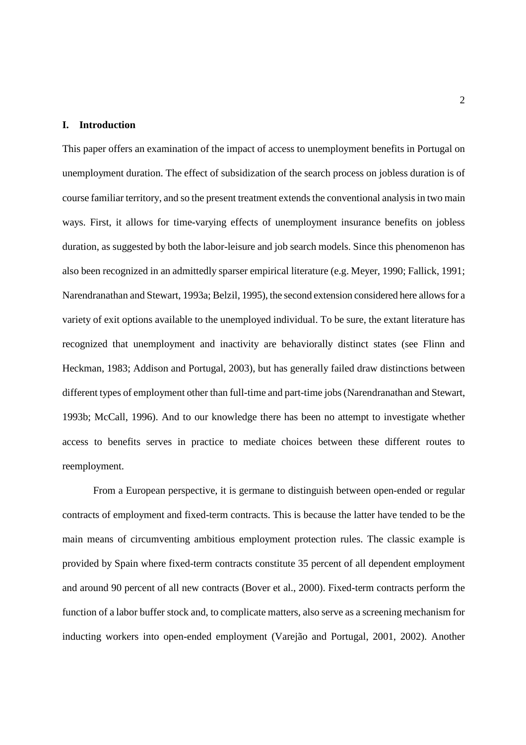#### **I. Introduction**

This paper offers an examination of the impact of access to unemployment benefits in Portugal on unemployment duration. The effect of subsidization of the search process on jobless duration is of course familiar territory, and so the present treatment extends the conventional analysis in two main ways. First, it allows for time-varying effects of unemployment insurance benefits on jobless duration, as suggested by both the labor-leisure and job search models. Since this phenomenon has also been recognized in an admittedly sparser empirical literature (e.g. Meyer, 1990; Fallick, 1991; Narendranathan and Stewart, 1993a; Belzil, 1995), the second extension considered here allows for a variety of exit options available to the unemployed individual. To be sure, the extant literature has recognized that unemployment and inactivity are behaviorally distinct states (see Flinn and Heckman, 1983; Addison and Portugal, 2003), but has generally failed draw distinctions between different types of employment other than full-time and part-time jobs (Narendranathan and Stewart, 1993b; McCall, 1996). And to our knowledge there has been no attempt to investigate whether access to benefits serves in practice to mediate choices between these different routes to reemployment.

From a European perspective, it is germane to distinguish between open-ended or regular contracts of employment and fixed-term contracts. This is because the latter have tended to be the main means of circumventing ambitious employment protection rules. The classic example is provided by Spain where fixed-term contracts constitute 35 percent of all dependent employment and around 90 percent of all new contracts (Bover et al., 2000). Fixed-term contracts perform the function of a labor buffer stock and, to complicate matters, also serve as a screening mechanism for inducting workers into open-ended employment (Varejão and Portugal, 2001, 2002). Another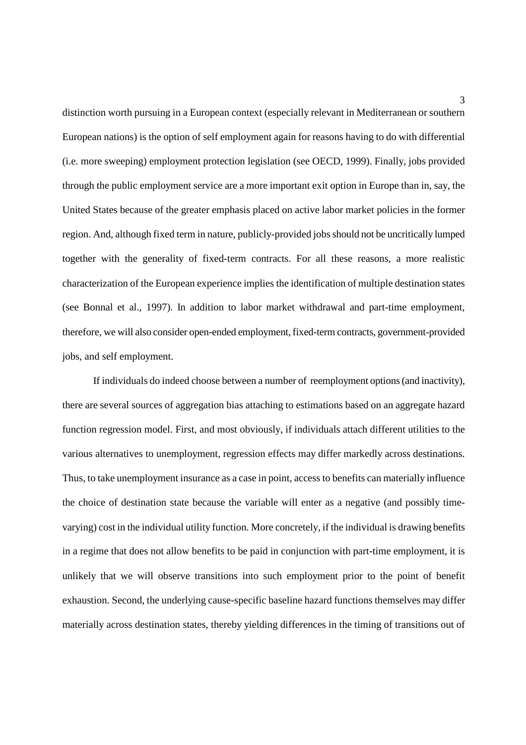distinction worth pursuing in a European context (especially relevant in Mediterranean or southern European nations) is the option of self employment again for reasons having to do with differential (i.e. more sweeping) employment protection legislation (see OECD, 1999). Finally, jobs provided through the public employment service are a more important exit option in Europe than in, say, the United States because of the greater emphasis placed on active labor market policies in the former region. And, although fixed term in nature, publicly-provided jobs should not be uncritically lumped together with the generality of fixed-term contracts. For all these reasons, a more realistic characterization of the European experience implies the identification of multiple destination states (see Bonnal et al., 1997). In addition to labor market withdrawal and part-time employment, therefore, we will also consider open-ended employment, fixed-term contracts, government-provided jobs, and self employment.

If individuals do indeed choose between a number of reemployment options (and inactivity), there are several sources of aggregation bias attaching to estimations based on an aggregate hazard function regression model. First, and most obviously, if individuals attach different utilities to the various alternatives to unemployment, regression effects may differ markedly across destinations. Thus, to take unemployment insurance as a case in point, access to benefits can materially influence the choice of destination state because the variable will enter as a negative (and possibly timevarying) cost in the individual utility function. More concretely, if the individual is drawing benefits in a regime that does not allow benefits to be paid in conjunction with part-time employment, it is unlikely that we will observe transitions into such employment prior to the point of benefit exhaustion. Second, the underlying cause-specific baseline hazard functions themselves may differ materially across destination states, thereby yielding differences in the timing of transitions out of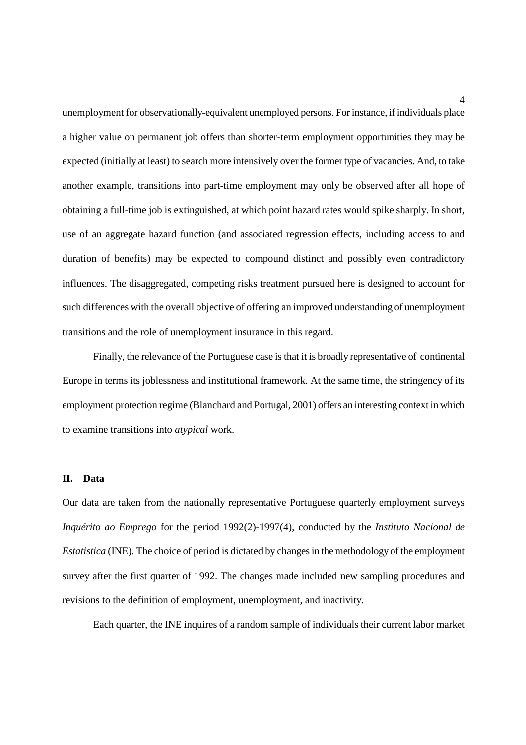unemployment for observationally-equivalent unemployed persons. For instance, if individuals place a higher value on permanent job offers than shorter-term employment opportunities they may be expected (initially at least) to search more intensively over the former type of vacancies. And, to take another example, transitions into part-time employment may only be observed after all hope of obtaining a full-time job is extinguished, at which point hazard rates would spike sharply. In short, use of an aggregate hazard function (and associated regression effects, including access to and duration of benefits) may be expected to compound distinct and possibly even contradictory influences. The disaggregated, competing risks treatment pursued here is designed to account for such differences with the overall objective of offering an improved understanding of unemployment transitions and the role of unemployment insurance in this regard.

Finally, the relevance of the Portuguese case is that it is broadly representative of continental Europe in terms its joblessness and institutional framework. At the same time, the stringency of its employment protection regime (Blanchard and Portugal, 2001) offers an interesting context in which to examine transitions into *atypical* work.

#### **II. Data**

Our data are taken from the nationally representative Portuguese quarterly employment surveys *Inquérito ao Emprego* for the period 1992(2)-1997(4), conducted by the *Instituto Nacional de Estatistica* (INE). The choice of period is dictated by changes in the methodology of the employment survey after the first quarter of 1992. The changes made included new sampling procedures and revisions to the definition of employment, unemployment, and inactivity.

Each quarter, the INE inquires of a random sample of individuals their current labor market

4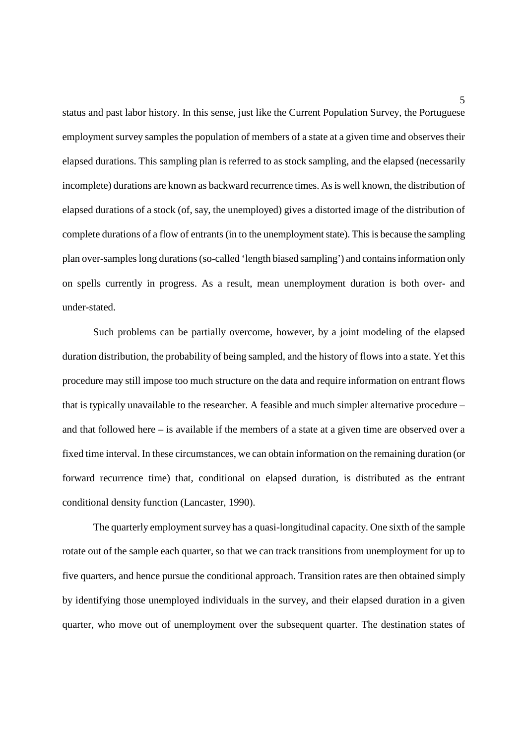status and past labor history. In this sense, just like the Current Population Survey, the Portuguese employment survey samples the population of members of a state at a given time and observes their elapsed durations. This sampling plan is referred to as stock sampling, and the elapsed (necessarily incomplete) durations are known as backward recurrence times. As is well known, the distribution of elapsed durations of a stock (of, say, the unemployed) gives a distorted image of the distribution of complete durations of a flow of entrants (in to the unemployment state). This is because the sampling plan over-samples long durations (so-called 'length biased sampling') and contains information only on spells currently in progress. As a result, mean unemployment duration is both over- and under-stated.

Such problems can be partially overcome, however, by a joint modeling of the elapsed duration distribution, the probability of being sampled, and the history of flows into a state. Yet this procedure may still impose too much structure on the data and require information on entrant flows that is typically unavailable to the researcher. A feasible and much simpler alternative procedure – and that followed here – is available if the members of a state at a given time are observed over a fixed time interval. In these circumstances, we can obtain information on the remaining duration (or forward recurrence time) that, conditional on elapsed duration, is distributed as the entrant conditional density function (Lancaster, 1990).

The quarterly employment survey has a quasi-longitudinal capacity. One sixth of the sample rotate out of the sample each quarter, so that we can track transitions from unemployment for up to five quarters, and hence pursue the conditional approach. Transition rates are then obtained simply by identifying those unemployed individuals in the survey, and their elapsed duration in a given quarter, who move out of unemployment over the subsequent quarter. The destination states of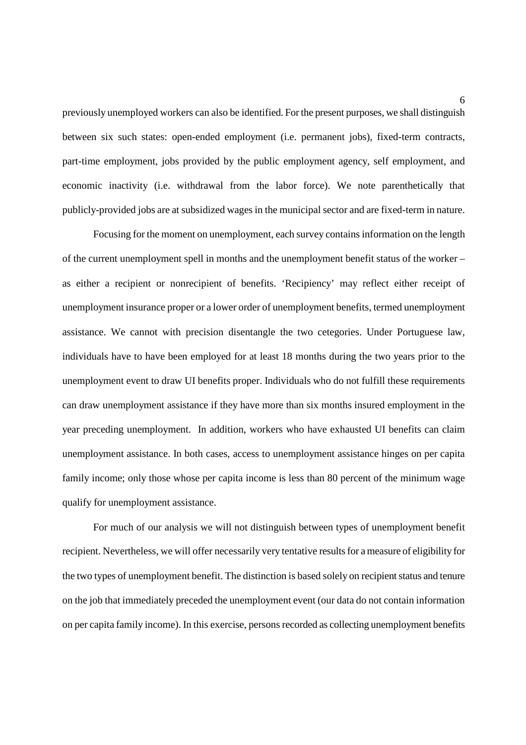previously unemployed workers can also be identified. For the present purposes, we shall distinguish between six such states: open-ended employment (i.e. permanent jobs), fixed-term contracts, part-time employment, jobs provided by the public employment agency, self employment, and economic inactivity (i.e. withdrawal from the labor force). We note parenthetically that publicly-provided jobs are at subsidized wages in the municipal sector and are fixed-term in nature.

Focusing for the moment on unemployment, each survey contains information on the length of the current unemployment spell in months and the unemployment benefit status of the worker – as either a recipient or nonrecipient of benefits. 'Recipiency' may reflect either receipt of unemployment insurance proper or a lower order of unemployment benefits, termed unemployment assistance. We cannot with precision disentangle the two cetegories. Under Portuguese law, individuals have to have been employed for at least 18 months during the two years prior to the unemployment event to draw UI benefits proper. Individuals who do not fulfill these requirements can draw unemployment assistance if they have more than six months insured employment in the year preceding unemployment. In addition, workers who have exhausted UI benefits can claim unemployment assistance. In both cases, access to unemployment assistance hinges on per capita family income; only those whose per capita income is less than 80 percent of the minimum wage qualify for unemployment assistance.

For much of our analysis we will not distinguish between types of unemployment benefit recipient. Nevertheless, we will offer necessarily very tentative results for a measure of eligibility for the two types of unemployment benefit. The distinction is based solely on recipient status and tenure on the job that immediately preceded the unemployment event (our data do not contain information on per capita family income). In this exercise, persons recorded as collecting unemployment benefits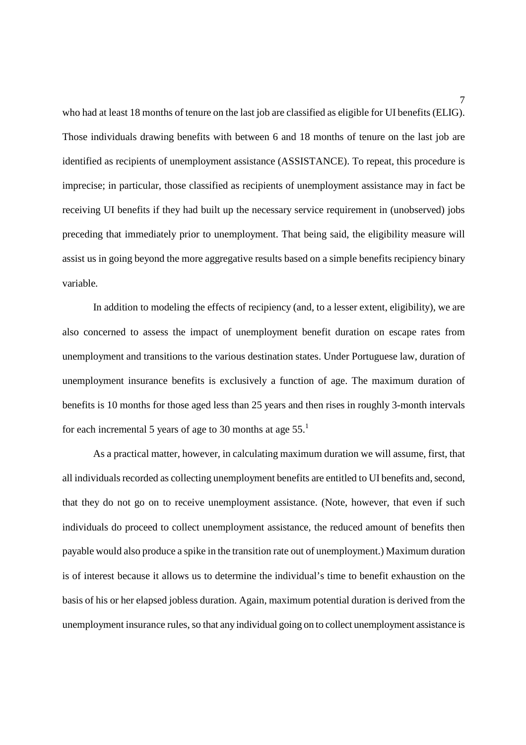who had at least 18 months of tenure on the last job are classified as eligible for UI benefits (ELIG). Those individuals drawing benefits with between 6 and 18 months of tenure on the last job are identified as recipients of unemployment assistance (ASSISTANCE). To repeat, this procedure is imprecise; in particular, those classified as recipients of unemployment assistance may in fact be receiving UI benefits if they had built up the necessary service requirement in (unobserved) jobs preceding that immediately prior to unemployment. That being said, the eligibility measure will assist us in going beyond the more aggregative results based on a simple benefits recipiency binary variable.

In addition to modeling the effects of recipiency (and, to a lesser extent, eligibility), we are also concerned to assess the impact of unemployment benefit duration on escape rates from unemployment and transitions to the various destination states. Under Portuguese law, duration of unemployment insurance benefits is exclusively a function of age. The maximum duration of benefits is 10 months for those aged less than 25 years and then rises in roughly 3-month intervals for each incremental 5 years of age to 30 months at age  $55<sup>1</sup>$ 

As a practical matter, however, in calculating maximum duration we will assume, first, that all individuals recorded as collecting unemployment benefits are entitled to UI benefits and, second, that they do not go on to receive unemployment assistance. (Note, however, that even if such individuals do proceed to collect unemployment assistance, the reduced amount of benefits then payable would also produce a spike in the transition rate out of unemployment.) Maximum duration is of interest because it allows us to determine the individual's time to benefit exhaustion on the basis of his or her elapsed jobless duration. Again, maximum potential duration is derived from the unemployment insurance rules, so that any individual going on to collect unemployment assistance is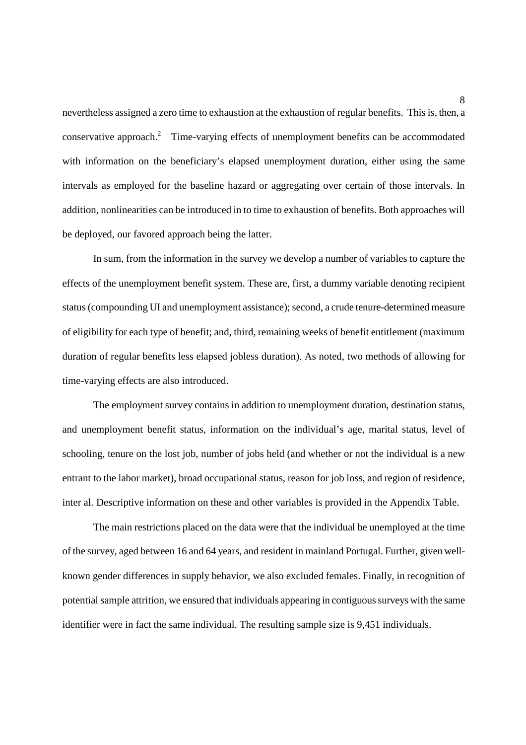nevertheless assigned a zero time to exhaustion at the exhaustion of regular benefits. This is, then, a conservative approach.2 Time-varying effects of unemployment benefits can be accommodated with information on the beneficiary's elapsed unemployment duration, either using the same intervals as employed for the baseline hazard or aggregating over certain of those intervals. In addition, nonlinearities can be introduced in to time to exhaustion of benefits. Both approaches will be deployed, our favored approach being the latter.

In sum, from the information in the survey we develop a number of variables to capture the effects of the unemployment benefit system. These are, first, a dummy variable denoting recipient status (compounding UI and unemployment assistance); second, a crude tenure-determined measure of eligibility for each type of benefit; and, third, remaining weeks of benefit entitlement (maximum duration of regular benefits less elapsed jobless duration). As noted, two methods of allowing for time-varying effects are also introduced.

The employment survey contains in addition to unemployment duration, destination status, and unemployment benefit status, information on the individual's age, marital status, level of schooling, tenure on the lost job, number of jobs held (and whether or not the individual is a new entrant to the labor market), broad occupational status, reason for job loss, and region of residence, inter al. Descriptive information on these and other variables is provided in the Appendix Table.

The main restrictions placed on the data were that the individual be unemployed at the time of the survey, aged between 16 and 64 years, and resident in mainland Portugal. Further, given wellknown gender differences in supply behavior, we also excluded females. Finally, in recognition of potential sample attrition, we ensured that individuals appearing in contiguous surveys with the same identifier were in fact the same individual. The resulting sample size is 9,451 individuals.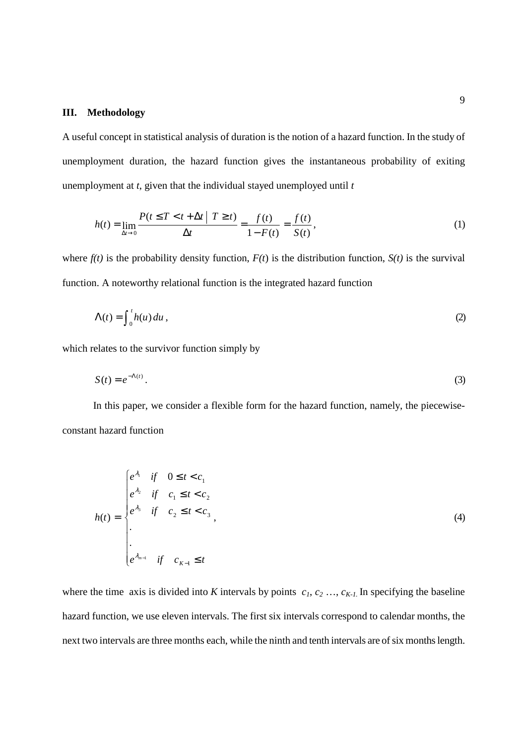#### **III. Methodology**

A useful concept in statistical analysis of duration is the notion of a hazard function. In the study of unemployment duration, the hazard function gives the instantaneous probability of exiting unemployment at *t*, given that the individual stayed unemployed until *t*

$$
h(t) = \lim_{\Delta t \to 0} \frac{P(t \le T < t + \Delta t | T \ge t)}{\Delta t} = \frac{f(t)}{1 - F(t)} = \frac{f(t)}{S(t)},
$$
\n(1)

where  $f(t)$  is the probability density function,  $F(t)$  is the distribution function,  $S(t)$  is the survival function. A noteworthy relational function is the integrated hazard function

$$
\Lambda(t) = \int_0^t h(u) \, du \tag{2}
$$

which relates to the survivor function simply by

$$
S(t) = e^{-\Lambda(t)}.
$$

In this paper, we consider a flexible form for the hazard function, namely, the piecewiseconstant hazard function

$$
h(t) = \begin{cases} e^{\lambda_1} & \text{if } 0 \le t < c_1 \\ e^{\lambda_2} & \text{if } c_1 \le t < c_2 \\ e^{\lambda_3} & \text{if } c_2 \le t < c_3 \\ . & \\ . & \\ e^{\lambda_{m-1}} & \text{if } c_{K-1} \le t \end{cases}
$$
 (4)

where the time axis is divided into *K* intervals by points  $c_1, c_2, \ldots, c_{K-1}$ . In specifying the baseline hazard function, we use eleven intervals. The first six intervals correspond to calendar months, the next two intervals are three months each, while the ninth and tenth intervals are of six months length.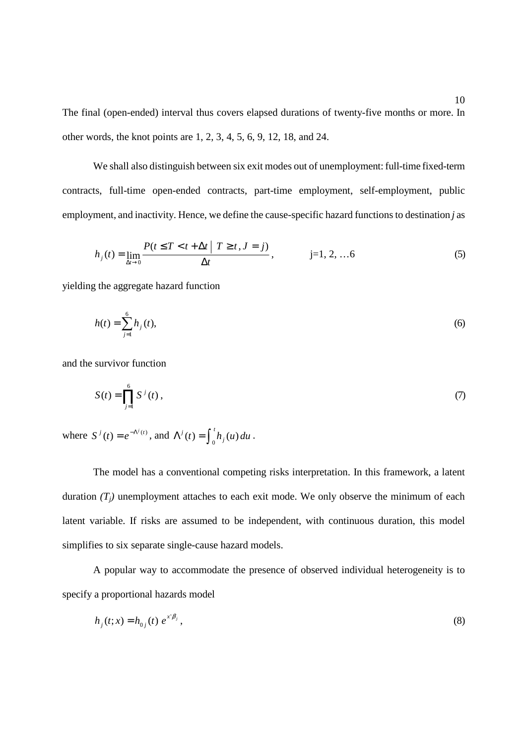The final (open-ended) interval thus covers elapsed durations of twenty-five months or more. In other words, the knot points are 1, 2, 3, 4, 5, 6, 9, 12, 18, and 24.

We shall also distinguish between six exit modes out of unemployment: full-time fixed-term contracts, full-time open-ended contracts, part-time employment, self-employment, public employment, and inactivity. Hence, we define the cause-specific hazard functions to destination *j* as

$$
h_j(t) = \lim_{\Delta t \to 0} \frac{P(t \le T < t + \Delta t | T \ge t, J = j)}{\Delta t}, \qquad j = 1, 2, ... 6
$$
 (5)

yielding the aggregate hazard function

$$
h(t) = \sum_{j=1}^{6} h_j(t),
$$
\n(6)

and the survivor function

$$
S(t) = \prod_{j=1}^{6} S^{j}(t) ,
$$
 (7)

where  $S^{i}(t) = e^{-\Lambda^{i}(t)}$ , and  $\Lambda^{i}(t) = \int_{0}^{t} h_{j}(u) du$ .

The model has a conventional competing risks interpretation. In this framework, a latent duration  $(T_i)$  unemployment attaches to each exit mode. We only observe the minimum of each latent variable. If risks are assumed to be independent, with continuous duration, this model simplifies to six separate single-cause hazard models.

A popular way to accommodate the presence of observed individual heterogeneity is to specify a proportional hazards model

$$
h_j(t; x) = h_{0j}(t) e^{x^i \beta_j},
$$
\n(8)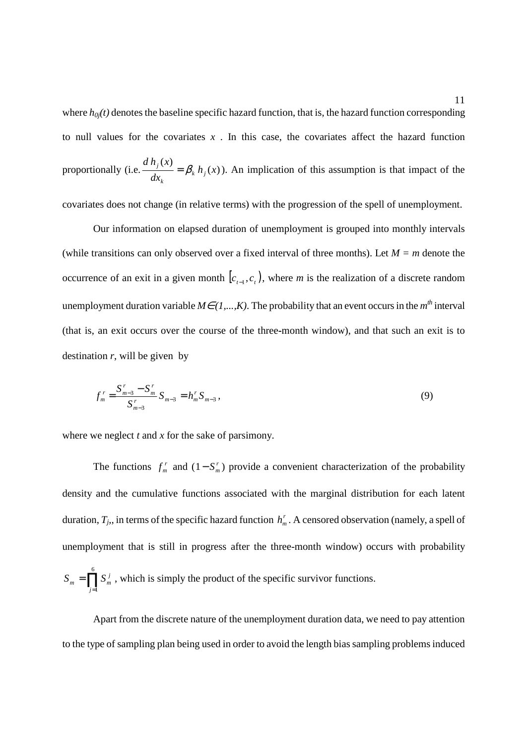where  $h_{0j}(t)$  denotes the baseline specific hazard function, that is, the hazard function corresponding to null values for the covariates *x* . In this case, the covariates affect the hazard function proportionally (i.e.  $\frac{d h_j(x)}{dx} = \beta_k h_i(x)$ *dx*  $d h_i(x)$ *k j k*  $\frac{f(x)}{f(x)} = \beta_k h_i(x)$ . An implication of this assumption is that impact of the

covariates does not change (in relative terms) with the progression of the spell of unemployment.

Our information on elapsed duration of unemployment is grouped into monthly intervals (while transitions can only observed over a fixed interval of three months). Let  $M = m$  denote the occurrence of an exit in a given month  $[c_{t-1}, c_t]$ , where *m* is the realization of a discrete random unemployment duration variable  $M \in (1,...,K)$ . The probability that an event occurs in the  $m<sup>th</sup>$  interval (that is, an exit occurs over the course of the three**-**month window), and that such an exit is to destination  $r$ , will be given by

$$
f_m^r = \frac{S_{m-3}^r - S_m^r}{S_{m-3}^r} S_{m-3} = h_m^r S_{m-3},
$$
\n(9)

where we neglect *t* and *x* for the sake of parsimony.

The functions  $f_m^r$  and  $(1 - S_m^r)$  provide a convenient characterization of the probability density and the cumulative functions associated with the marginal distribution for each latent duration,  $T_j$ , in terms of the specific hazard function  $h'_m$ . A censored observation (namely, a spell of unemployment that is still in progress after the three-month window) occurs with probability  $=\prod_{j=1}$ 6 *j*=1  $S_m = \prod S_m^j$ , which is simply the product of the specific survivor functions.

Apart from the discrete nature of the unemployment duration data, we need to pay attention to the type of sampling plan being used in order to avoid the length bias sampling problems induced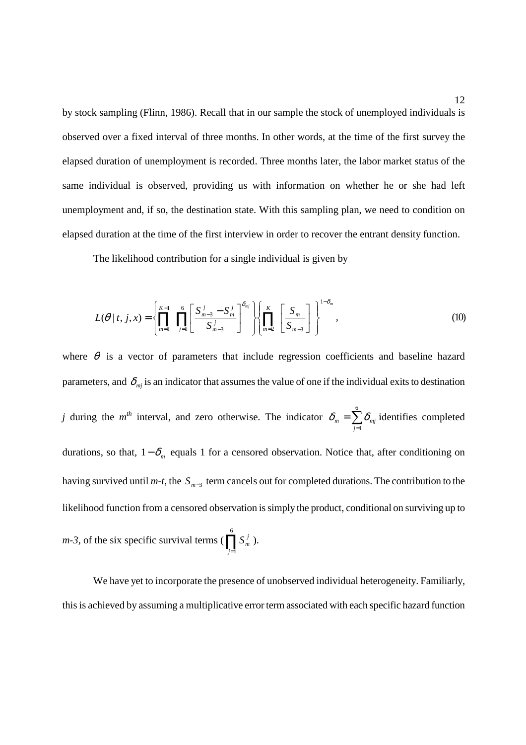by stock sampling (Flinn, 1986). Recall that in our sample the stock of unemployed individuals is observed over a fixed interval of three months. In other words, at the time of the first survey the elapsed duration of unemployment is recorded. Three months later, the labor market status of the same individual is observed, providing us with information on whether he or she had left unemployment and, if so, the destination state. With this sampling plan, we need to condition on elapsed duration at the time of the first interview in order to recover the entrant density function.

The likelihood contribution for a single individual is given by

$$
L(\theta \mid t, j, x) = \left\{ \prod_{m=1}^{K-1} \prod_{j=1}^{6} \left[ \frac{S_{m-3}^{j} - S_{m}^{j}}{S_{m-3}^{j}} \right] \right\} \left\{ \prod_{m=2}^{K} \left[ \frac{S_{m}}{S_{m-3}} \right] \right\}^{1-\delta_{m}},
$$
\n(10)

where  $\theta$  is a vector of parameters that include regression coefficients and baseline hazard parameters, and  $\delta_{mj}$  is an indicator that assumes the value of one if the individual exits to destination *j* during the *m*<sup>th</sup> interval, and zero otherwise. The indicator  $\delta_m = \sum_{j=1}^m$ 6 *j*=1  $\delta_m = \sum \delta_{mj}$  identifies completed durations, so that,  $1 - \delta_m$  equals 1 for a censored observation. Notice that, after conditioning on having survived until *m-t*, the *S*<sub>*m*−3</sub> term cancels out for completed durations. The contribution to the likelihood function from a censored observation is simply the product, conditional on surviving up to *m-3*, of the six specific survival terms ( $\prod_{j=1}^{6}$ *j*=1  $S_m^j$ ).

We have yet to incorporate the presence of unobserved individual heterogeneity. Familiarly, this is achieved by assuming a multiplicative error term associated with each specific hazard function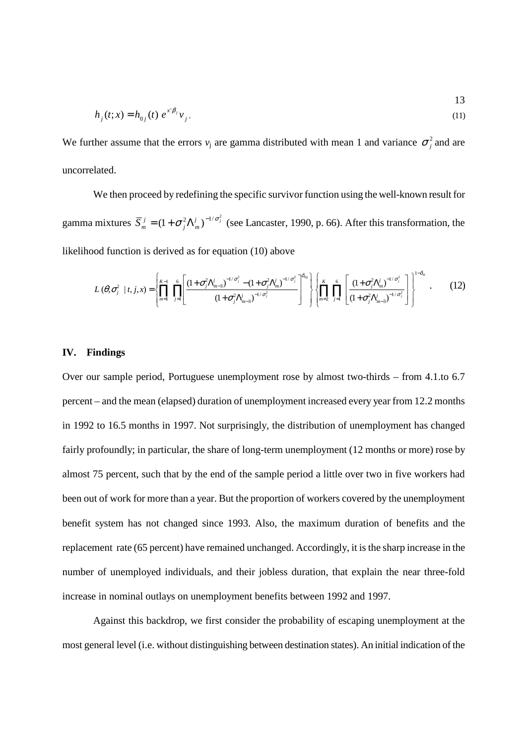$$
h_j(t; x) = h_{0j}(t) e^{x^i \beta_j} v_j.
$$
 (11)

13

We further assume that the errors  $v_j$  are gamma distributed with mean 1 and variance  $\sigma_i^2$  and are uncorrelated.

We then proceed by redefining the specific survivor function using the well-known result for gamma mixtures  $\overline{S}_m^j = (1 + \sigma_j^2 \Lambda_m^j)^{-1/\sigma_j^2}$  $\bar{S}_m^j = (1 + \sigma_j^2 \Lambda_m^j)^{-1/\sigma_j^2}$  (see Lancaster, 1990, p. 66). After this transformation, the likelihood function is derived as for equation (10) above

$$
L(\theta, \sigma_j^2 \mid t, j, x) = \left\{ \prod_{m=1}^{K-1} \prod_{j=1}^{6} \left[ \frac{(1+\sigma_j^2 \Lambda_{m-3}^j)^{-1/\sigma_j^2} - (1+\sigma_j^2 \Lambda_m^j)^{-1/\sigma_j^2}}{(1+\sigma_j^2 \Lambda_{m-3}^j)^{-1/\sigma_j^2}} \right] \right\} \left\{ \prod_{m=2}^{K} \prod_{j=1}^{6} \left[ \frac{(1+\sigma_j^2 \Lambda_m^j)^{-1/\sigma_j^2}}{(1+\sigma_j^2 \Lambda_{m-3}^j)^{-1/\sigma_j^2}} \right] \right\}^{1-\delta_m}.
$$
 (12)

#### **IV. Findings**

Over our sample period, Portuguese unemployment rose by almost two-thirds – from 4.1.to 6.7 percent – and the mean (elapsed) duration of unemployment increased every year from 12.2 months in 1992 to 16.5 months in 1997. Not surprisingly, the distribution of unemployment has changed fairly profoundly; in particular, the share of long-term unemployment (12 months or more) rose by almost 75 percent, such that by the end of the sample period a little over two in five workers had been out of work for more than a year. But the proportion of workers covered by the unemployment benefit system has not changed since 1993. Also, the maximum duration of benefits and the replacement rate (65 percent) have remained unchanged. Accordingly, it is the sharp increase in the number of unemployed individuals, and their jobless duration, that explain the near three-fold increase in nominal outlays on unemployment benefits between 1992 and 1997.

Against this backdrop, we first consider the probability of escaping unemployment at the most general level (i.e. without distinguishing between destination states). An initial indication of the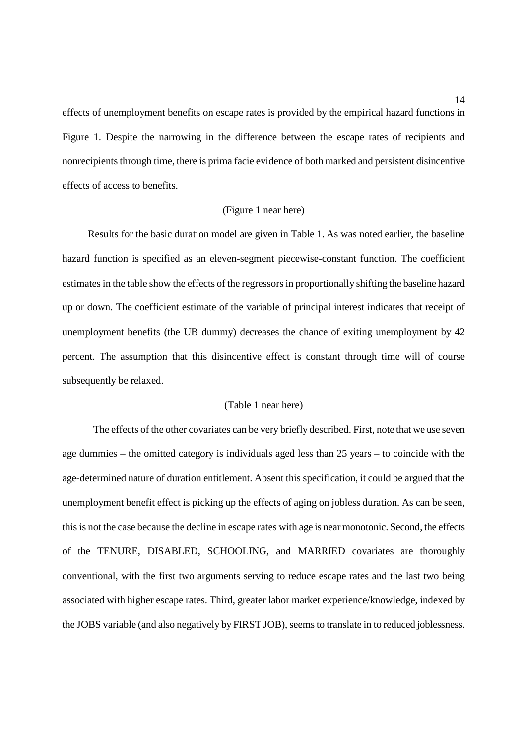effects of unemployment benefits on escape rates is provided by the empirical hazard functions in Figure 1. Despite the narrowing in the difference between the escape rates of recipients and nonrecipients through time, there is prima facie evidence of both marked and persistent disincentive effects of access to benefits.

#### (Figure 1 near here)

Results for the basic duration model are given in Table 1. As was noted earlier, the baseline hazard function is specified as an eleven-segment piecewise-constant function. The coefficient estimates in the table show the effects of the regressors in proportionally shifting the baseline hazard up or down. The coefficient estimate of the variable of principal interest indicates that receipt of unemployment benefits (the UB dummy) decreases the chance of exiting unemployment by 42 percent. The assumption that this disincentive effect is constant through time will of course subsequently be relaxed.

#### (Table 1 near here)

The effects of the other covariates can be very briefly described. First, note that we use seven age dummies – the omitted category is individuals aged less than 25 years – to coincide with the age-determined nature of duration entitlement. Absent this specification, it could be argued that the unemployment benefit effect is picking up the effects of aging on jobless duration. As can be seen, this is not the case because the decline in escape rates with age is near monotonic. Second, the effects of the TENURE, DISABLED, SCHOOLING, and MARRIED covariates are thoroughly conventional, with the first two arguments serving to reduce escape rates and the last two being associated with higher escape rates. Third, greater labor market experience/knowledge, indexed by the JOBS variable (and also negatively by FIRST JOB), seems to translate in to reduced joblessness.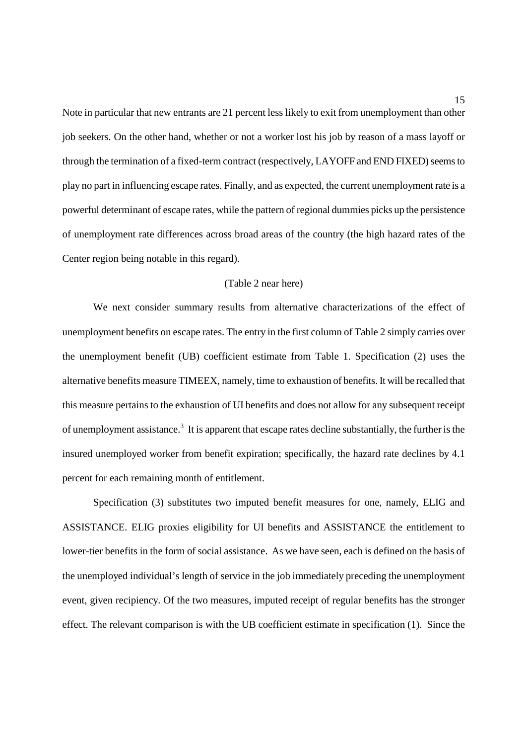Note in particular that new entrants are 21 percent less likely to exit from unemployment than other job seekers. On the other hand, whether or not a worker lost his job by reason of a mass layoff or through the termination of a fixed-term contract (respectively, LAYOFF and END FIXED) seems to play no part in influencing escape rates. Finally, and as expected, the current unemployment rate is a powerful determinant of escape rates, while the pattern of regional dummies picks up the persistence of unemployment rate differences across broad areas of the country (the high hazard rates of the Center region being notable in this regard).

#### (Table 2 near here)

We next consider summary results from alternative characterizations of the effect of unemployment benefits on escape rates. The entry in the first column of Table 2 simply carries over the unemployment benefit (UB) coefficient estimate from Table 1. Specification (2) uses the alternative benefits measure TIMEEX, namely, time to exhaustion of benefits. It will be recalled that this measure pertains to the exhaustion of UI benefits and does not allow for any subsequent receipt of unemployment assistance.<sup>3</sup> It is apparent that escape rates decline substantially, the further is the insured unemployed worker from benefit expiration; specifically, the hazard rate declines by 4.1 percent for each remaining month of entitlement.

Specification (3) substitutes two imputed benefit measures for one, namely, ELIG and ASSISTANCE. ELIG proxies eligibility for UI benefits and ASSISTANCE the entitlement to lower-tier benefits in the form of social assistance. As we have seen, each is defined on the basis of the unemployed individual's length of service in the job immediately preceding the unemployment event, given recipiency. Of the two measures, imputed receipt of regular benefits has the stronger effect. The relevant comparison is with the UB coefficient estimate in specification (1). Since the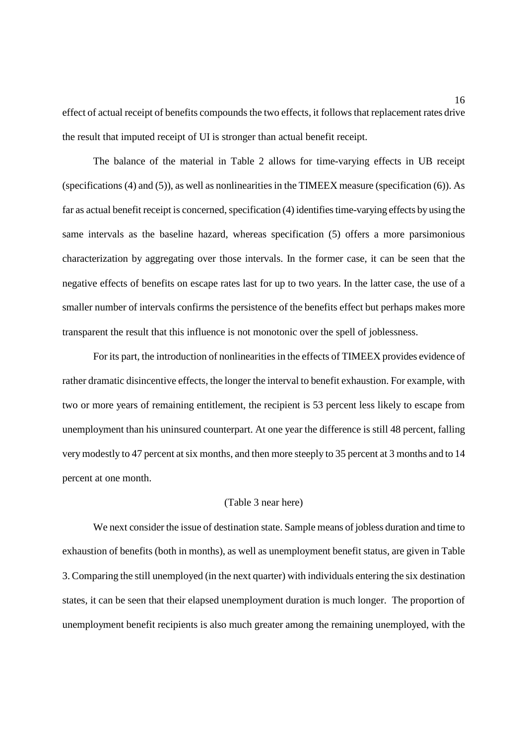effect of actual receipt of benefits compounds the two effects, it follows that replacement rates drive the result that imputed receipt of UI is stronger than actual benefit receipt.

The balance of the material in Table 2 allows for time-varying effects in UB receipt (specifications (4) and (5)), as well as nonlinearities in the TIMEEX measure (specification (6)). As far as actual benefit receipt is concerned, specification (4) identifies time-varying effects by using the same intervals as the baseline hazard, whereas specification (5) offers a more parsimonious characterization by aggregating over those intervals. In the former case, it can be seen that the negative effects of benefits on escape rates last for up to two years. In the latter case, the use of a smaller number of intervals confirms the persistence of the benefits effect but perhaps makes more transparent the result that this influence is not monotonic over the spell of joblessness.

For its part, the introduction of nonlinearities in the effects of TIMEEX provides evidence of rather dramatic disincentive effects, the longer the interval to benefit exhaustion. For example, with two or more years of remaining entitlement, the recipient is 53 percent less likely to escape from unemployment than his uninsured counterpart. At one year the difference is still 48 percent, falling very modestly to 47 percent at six months, and then more steeply to 35 percent at 3 months and to 14 percent at one month.

#### (Table 3 near here)

We next consider the issue of destination state. Sample means of jobless duration and time to exhaustion of benefits (both in months), as well as unemployment benefit status, are given in Table 3. Comparing the still unemployed (in the next quarter) with individuals entering the six destination states, it can be seen that their elapsed unemployment duration is much longer. The proportion of unemployment benefit recipients is also much greater among the remaining unemployed, with the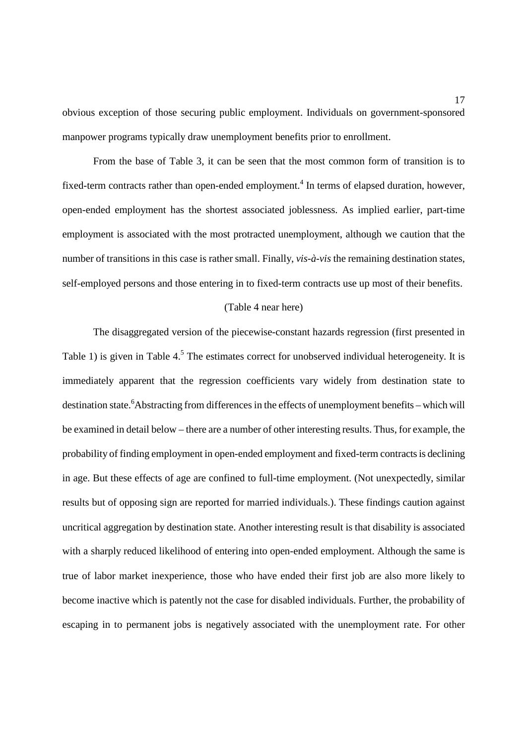obvious exception of those securing public employment. Individuals on government-sponsored manpower programs typically draw unemployment benefits prior to enrollment.

From the base of Table 3, it can be seen that the most common form of transition is to fixed-term contracts rather than open-ended employment.<sup>4</sup> In terms of elapsed duration, however, open-ended employment has the shortest associated joblessness. As implied earlier, part-time employment is associated with the most protracted unemployment, although we caution that the number of transitions in this case is rather small. Finally, *vis-à-vis* the remaining destination states, self-employed persons and those entering in to fixed-term contracts use up most of their benefits.

#### (Table 4 near here)

The disaggregated version of the piecewise-constant hazards regression (first presented in Table 1) is given in Table  $4<sup>5</sup>$ . The estimates correct for unobserved individual heterogeneity. It is immediately apparent that the regression coefficients vary widely from destination state to destination state.<sup>6</sup>Abstracting from differences in the effects of unemployment benefits - which will be examined in detail below – there are a number of other interesting results. Thus, for example, the probability of finding employment in open-ended employment and fixed-term contracts is declining in age. But these effects of age are confined to full-time employment. (Not unexpectedly, similar results but of opposing sign are reported for married individuals.). These findings caution against uncritical aggregation by destination state. Another interesting result is that disability is associated with a sharply reduced likelihood of entering into open-ended employment. Although the same is true of labor market inexperience, those who have ended their first job are also more likely to become inactive which is patently not the case for disabled individuals. Further, the probability of escaping in to permanent jobs is negatively associated with the unemployment rate. For other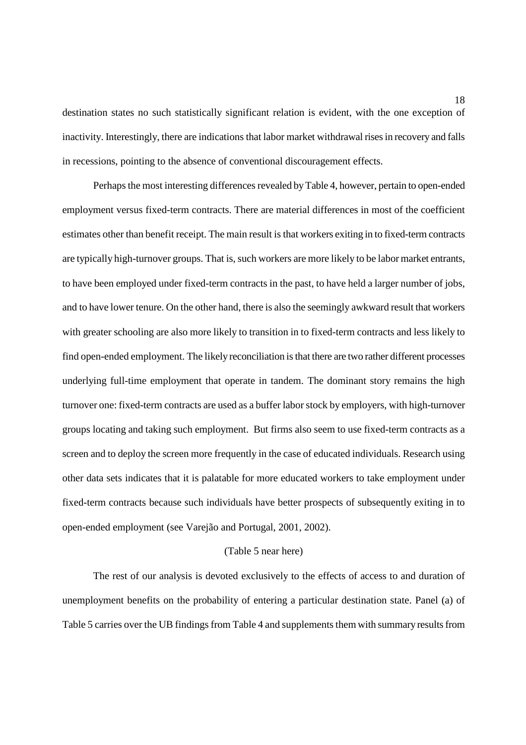destination states no such statistically significant relation is evident, with the one exception of inactivity. Interestingly, there are indications that labor market withdrawal rises in recovery and falls in recessions, pointing to the absence of conventional discouragement effects.

Perhaps the most interesting differences revealed by Table 4, however, pertain to open-ended employment versus fixed-term contracts. There are material differences in most of the coefficient estimates other than benefit receipt. The main result is that workers exiting in to fixed-term contracts are typically high-turnover groups. That is, such workers are more likely to be labor market entrants, to have been employed under fixed-term contracts in the past, to have held a larger number of jobs, and to have lower tenure. On the other hand, there is also the seemingly awkward result that workers with greater schooling are also more likely to transition in to fixed-term contracts and less likely to find open-ended employment. The likely reconciliation is that there are two rather different processes underlying full-time employment that operate in tandem. The dominant story remains the high turnover one: fixed-term contracts are used as a buffer labor stock by employers, with high-turnover groups locating and taking such employment. But firms also seem to use fixed-term contracts as a screen and to deploy the screen more frequently in the case of educated individuals. Research using other data sets indicates that it is palatable for more educated workers to take employment under fixed-term contracts because such individuals have better prospects of subsequently exiting in to open-ended employment (see Varejão and Portugal, 2001, 2002).

#### (Table 5 near here)

The rest of our analysis is devoted exclusively to the effects of access to and duration of unemployment benefits on the probability of entering a particular destination state. Panel (a) of Table 5 carries over the UB findings from Table 4 and supplements them with summary results from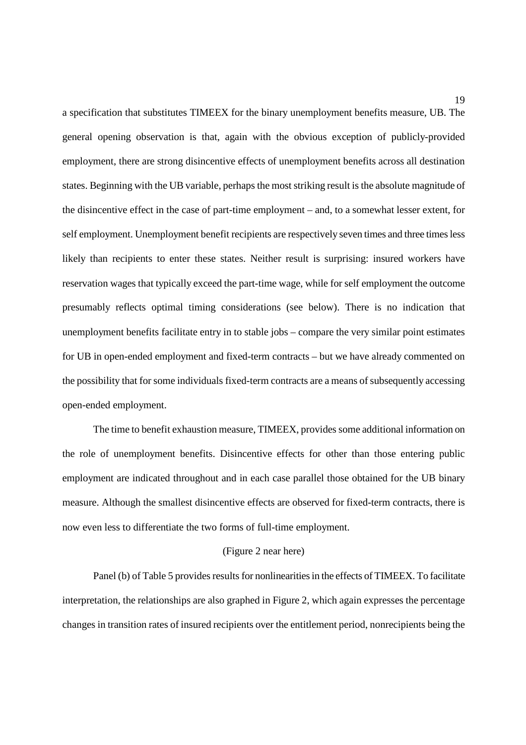a specification that substitutes TIMEEX for the binary unemployment benefits measure, UB. The general opening observation is that, again with the obvious exception of publicly-provided employment, there are strong disincentive effects of unemployment benefits across all destination states. Beginning with the UB variable, perhaps the most striking result is the absolute magnitude of the disincentive effect in the case of part-time employment – and, to a somewhat lesser extent, for self employment. Unemployment benefit recipients are respectively seven times and three times less likely than recipients to enter these states. Neither result is surprising: insured workers have reservation wages that typically exceed the part-time wage, while for self employment the outcome presumably reflects optimal timing considerations (see below). There is no indication that unemployment benefits facilitate entry in to stable jobs – compare the very similar point estimates for UB in open-ended employment and fixed-term contracts – but we have already commented on the possibility that for some individuals fixed-term contracts are a means of subsequently accessing open-ended employment.

The time to benefit exhaustion measure, TIMEEX, provides some additional information on the role of unemployment benefits. Disincentive effects for other than those entering public employment are indicated throughout and in each case parallel those obtained for the UB binary measure. Although the smallest disincentive effects are observed for fixed-term contracts, there is now even less to differentiate the two forms of full-time employment.

#### (Figure 2 near here)

Panel (b) of Table 5 provides results for nonlinearities in the effects of TIMEEX. To facilitate interpretation, the relationships are also graphed in Figure 2, which again expresses the percentage changes in transition rates of insured recipients over the entitlement period, nonrecipients being the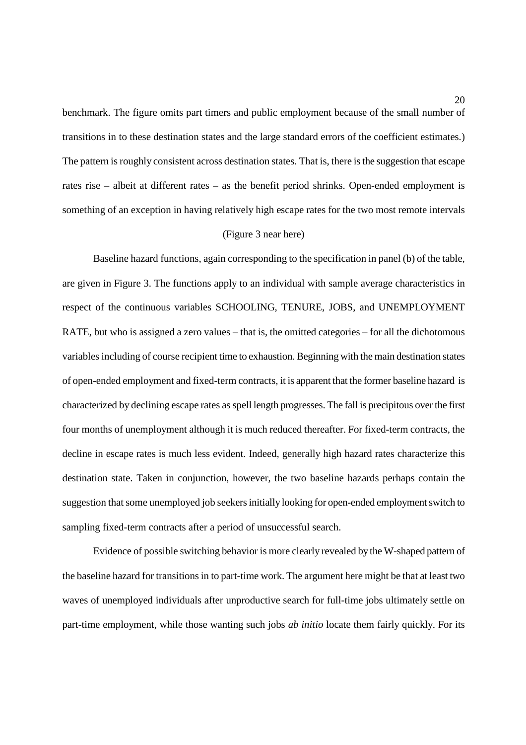benchmark. The figure omits part timers and public employment because of the small number of transitions in to these destination states and the large standard errors of the coefficient estimates.) The pattern is roughly consistent across destination states. That is, there is the suggestion that escape rates rise – albeit at different rates – as the benefit period shrinks. Open-ended employment is something of an exception in having relatively high escape rates for the two most remote intervals

#### (Figure 3 near here)

Baseline hazard functions, again corresponding to the specification in panel (b) of the table, are given in Figure 3. The functions apply to an individual with sample average characteristics in respect of the continuous variables SCHOOLING, TENURE, JOBS, and UNEMPLOYMENT RATE, but who is assigned a zero values – that is, the omitted categories – for all the dichotomous variables including of course recipient time to exhaustion. Beginning with the main destination states of open-ended employment and fixed-term contracts, it is apparent that the former baseline hazard is characterized by declining escape rates as spell length progresses. The fall is precipitous over the first four months of unemployment although it is much reduced thereafter. For fixed-term contracts, the decline in escape rates is much less evident. Indeed, generally high hazard rates characterize this destination state. Taken in conjunction, however, the two baseline hazards perhaps contain the suggestion that some unemployed job seekers initially looking for open-ended employment switch to sampling fixed-term contracts after a period of unsuccessful search.

Evidence of possible switching behavior is more clearly revealed by the W-shaped pattern of the baseline hazard for transitions in to part-time work. The argument here might be that at least two waves of unemployed individuals after unproductive search for full-time jobs ultimately settle on part-time employment, while those wanting such jobs *ab initio* locate them fairly quickly. For its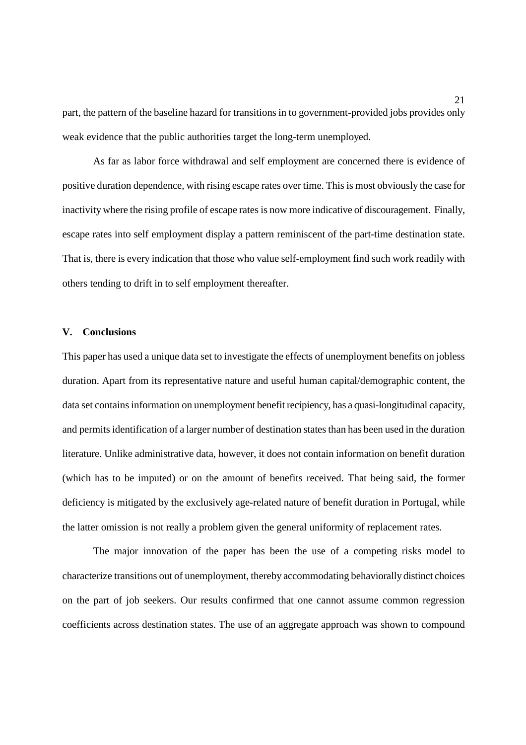part, the pattern of the baseline hazard for transitions in to government-provided jobs provides only weak evidence that the public authorities target the long-term unemployed.

As far as labor force withdrawal and self employment are concerned there is evidence of positive duration dependence, with rising escape rates over time. This is most obviously the case for inactivity where the rising profile of escape rates is now more indicative of discouragement. Finally, escape rates into self employment display a pattern reminiscent of the part-time destination state. That is, there is every indication that those who value self-employment find such work readily with others tending to drift in to self employment thereafter.

#### **V. Conclusions**

This paper has used a unique data set to investigate the effects of unemployment benefits on jobless duration. Apart from its representative nature and useful human capital/demographic content, the data set contains information on unemployment benefit recipiency, has a quasi-longitudinal capacity, and permits identification of a larger number of destination states than has been used in the duration literature. Unlike administrative data, however, it does not contain information on benefit duration (which has to be imputed) or on the amount of benefits received. That being said, the former deficiency is mitigated by the exclusively age-related nature of benefit duration in Portugal, while the latter omission is not really a problem given the general uniformity of replacement rates.

The major innovation of the paper has been the use of a competing risks model to characterize transitions out of unemployment, thereby accommodating behaviorally distinct choices on the part of job seekers. Our results confirmed that one cannot assume common regression coefficients across destination states. The use of an aggregate approach was shown to compound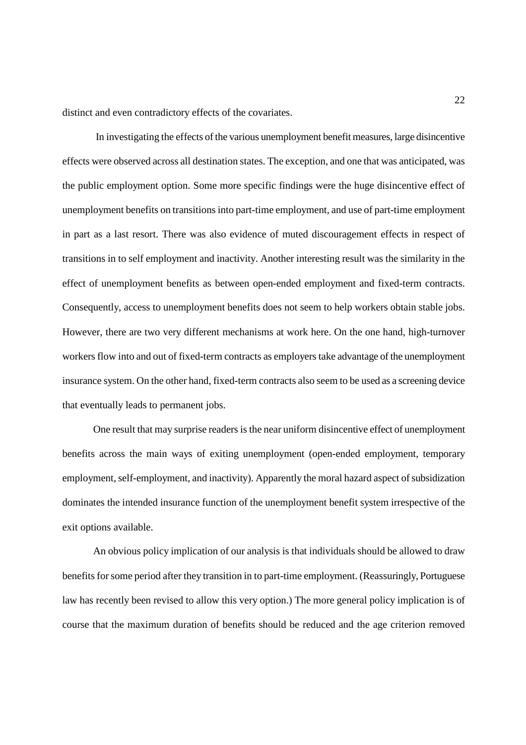distinct and even contradictory effects of the covariates.

In investigating the effects of the various unemployment benefit measures, large disincentive effects were observed across all destination states. The exception, and one that was anticipated, was the public employment option. Some more specific findings were the huge disincentive effect of unemployment benefits on transitions into part-time employment, and use of part-time employment in part as a last resort. There was also evidence of muted discouragement effects in respect of transitions in to self employment and inactivity. Another interesting result was the similarity in the effect of unemployment benefits as between open-ended employment and fixed-term contracts. Consequently, access to unemployment benefits does not seem to help workers obtain stable jobs. However, there are two very different mechanisms at work here. On the one hand, high-turnover workers flow into and out of fixed-term contracts as employers take advantage of the unemployment insurance system. On the other hand, fixed-term contracts also seem to be used as a screening device that eventually leads to permanent jobs.

One result that may surprise readers is the near uniform disincentive effect of unemployment benefits across the main ways of exiting unemployment (open-ended employment, temporary employment, self-employment, and inactivity). Apparently the moral hazard aspect of subsidization dominates the intended insurance function of the unemployment benefit system irrespective of the exit options available.

An obvious policy implication of our analysis is that individuals should be allowed to draw benefits for some period after they transition in to part-time employment. (Reassuringly, Portuguese law has recently been revised to allow this very option.) The more general policy implication is of course that the maximum duration of benefits should be reduced and the age criterion removed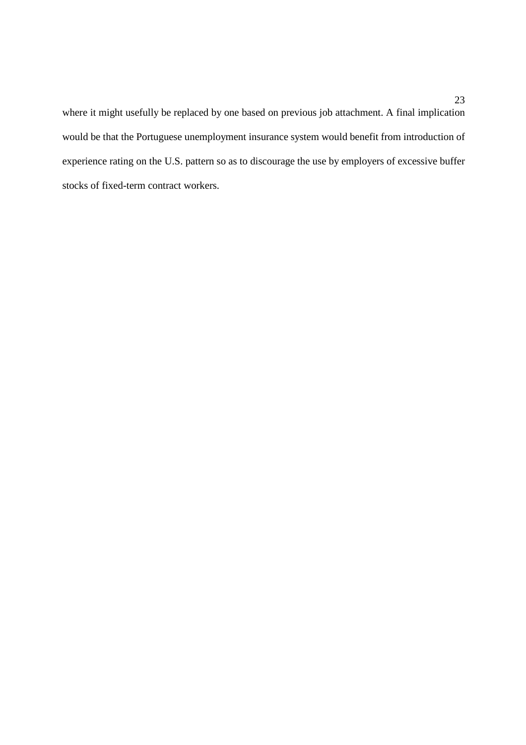where it might usefully be replaced by one based on previous job attachment. A final implication would be that the Portuguese unemployment insurance system would benefit from introduction of experience rating on the U.S. pattern so as to discourage the use by employers of excessive buffer stocks of fixed-term contract workers.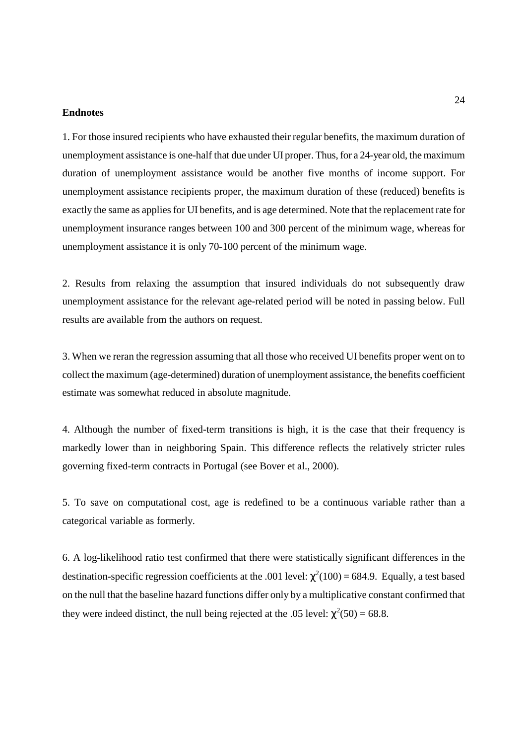#### **Endnotes**

1. For those insured recipients who have exhausted their regular benefits, the maximum duration of unemployment assistance is one-half that due under UI proper. Thus, for a 24-year old, the maximum duration of unemployment assistance would be another five months of income support. For unemployment assistance recipients proper, the maximum duration of these (reduced) benefits is exactly the same as applies for UI benefits, and is age determined. Note that the replacement rate for unemployment insurance ranges between 100 and 300 percent of the minimum wage, whereas for unemployment assistance it is only 70-100 percent of the minimum wage.

2. Results from relaxing the assumption that insured individuals do not subsequently draw unemployment assistance for the relevant age-related period will be noted in passing below. Full results are available from the authors on request.

3. When we reran the regression assuming that all those who received UI benefits proper went on to collect the maximum (age-determined) duration of unemployment assistance, the benefits coefficient estimate was somewhat reduced in absolute magnitude.

4. Although the number of fixed-term transitions is high, it is the case that their frequency is markedly lower than in neighboring Spain. This difference reflects the relatively stricter rules governing fixed-term contracts in Portugal (see Bover et al., 2000).

5. To save on computational cost, age is redefined to be a continuous variable rather than a categorical variable as formerly.

6. A log-likelihood ratio test confirmed that there were statistically significant differences in the destination-specific regression coefficients at the .001 level:  $\chi^2(100) = 684.9$ . Equally, a test based on the null that the baseline hazard functions differ only by a multiplicative constant confirmed that they were indeed distinct, the null being rejected at the .05 level:  $\chi^2(50) = 68.8$ .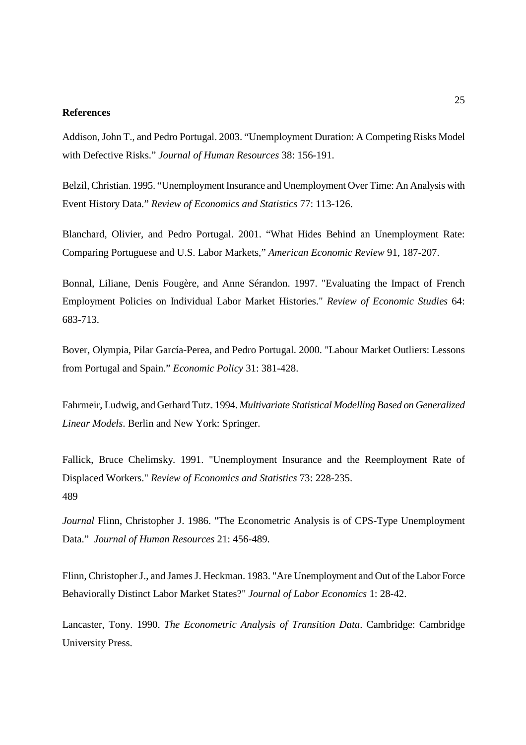#### **References**

Addison, John T., and Pedro Portugal. 2003. "Unemployment Duration: A Competing Risks Model with Defective Risks." *Journal of Human Resources* 38: 156-191.

Belzil, Christian. 1995. "Unemployment Insurance and Unemployment Over Time: An Analysis with Event History Data." *Review of Economics and Statistics* 77: 113-126.

Blanchard, Olivier, and Pedro Portugal. 2001. "What Hides Behind an Unemployment Rate: Comparing Portuguese and U.S. Labor Markets," *American Economic Review* 91, 187-207.

Bonnal, Liliane, Denis Fougère, and Anne Sérandon. 1997. "Evaluating the Impact of French Employment Policies on Individual Labor Market Histories." *Review of Economic Studies* 64: 683-713.

Bover, Olympia, Pilar García-Perea, and Pedro Portugal. 2000. "Labour Market Outliers: Lessons from Portugal and Spain." *Economic Policy* 31: 381-428.

Fahrmeir, Ludwig, and Gerhard Tutz. 1994. *Multivariate Statistical Modelling Based on Generalized Linear Models*. Berlin and New York: Springer.

Fallick, Bruce Chelimsky. 1991. "Unemployment Insurance and the Reemployment Rate of Displaced Workers." *Review of Economics and Statistics* 73: 228-235. 489

*Journal* Flinn, Christopher J. 1986. "The Econometric Analysis is of CPS-Type Unemployment Data." *Journal of Human Resources* 21: 456-489.

Flinn, Christopher J., and James J. Heckman. 1983. "Are Unemployment and Out of the Labor Force Behaviorally Distinct Labor Market States?" *Journal of Labor Economics* 1: 28-42.

Lancaster, Tony. 1990. *The Econometric Analysis of Transition Data*. Cambridge: Cambridge University Press.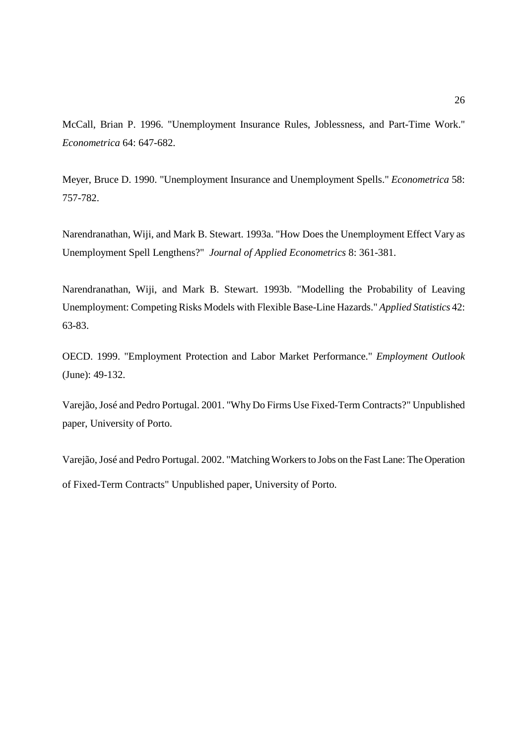McCall, Brian P. 1996. "Unemployment Insurance Rules, Joblessness, and Part-Time Work." *Econometrica* 64: 647-682.

Meyer, Bruce D. 1990. "Unemployment Insurance and Unemployment Spells." *Econometrica* 58: 757-782.

Narendranathan, Wiji, and Mark B. Stewart. 1993a. "How Does the Unemployment Effect Vary as Unemployment Spell Lengthens?" *Journal of Applied Econometrics* 8: 361-381.

Narendranathan, Wiji, and Mark B. Stewart. 1993b. "Modelling the Probability of Leaving Unemployment: Competing Risks Models with Flexible Base-Line Hazards." *Applied Statistics* 42: 63-83.

OECD. 1999. "Employment Protection and Labor Market Performance." *Employment Outlook* (June): 49-132.

Varejão, José and Pedro Portugal. 2001. "Why Do Firms Use Fixed-Term Contracts?" Unpublished paper, University of Porto.

Varejão, José and Pedro Portugal. 2002. "Matching Workers to Jobs on the Fast Lane: The Operation of Fixed-Term Contracts" Unpublished paper, University of Porto.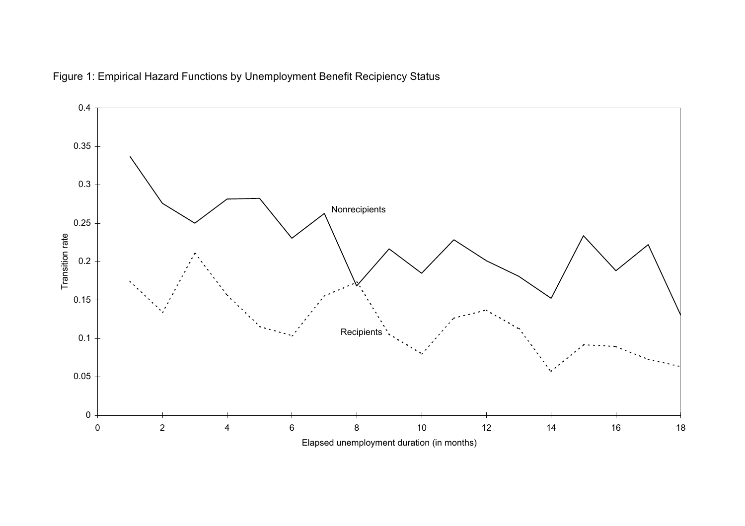

Figure 1: Empirical Hazard Functions by Unemployment Benefit Recipiency Status

Elapsed unemployment duration (in months)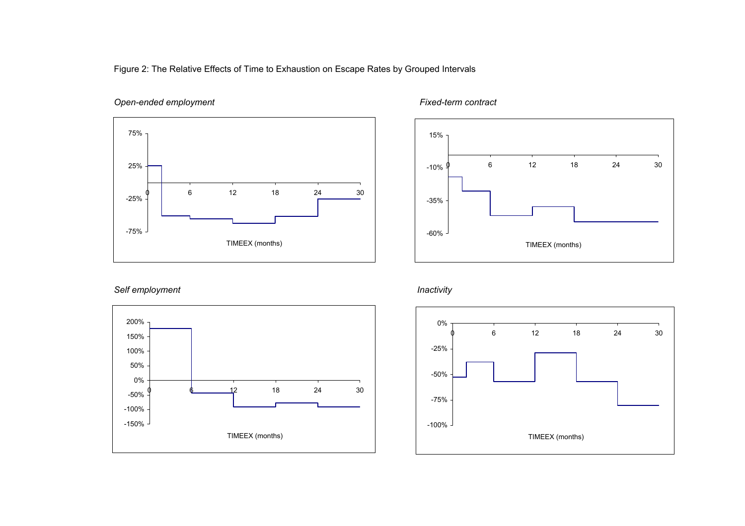Figure 2: The Relative Effects of Time to Exhaustion on Escape Rates by Grouped Intervals

#### *Open-ended employment Fixed-term contract*





#### *Self employment Inactivity*



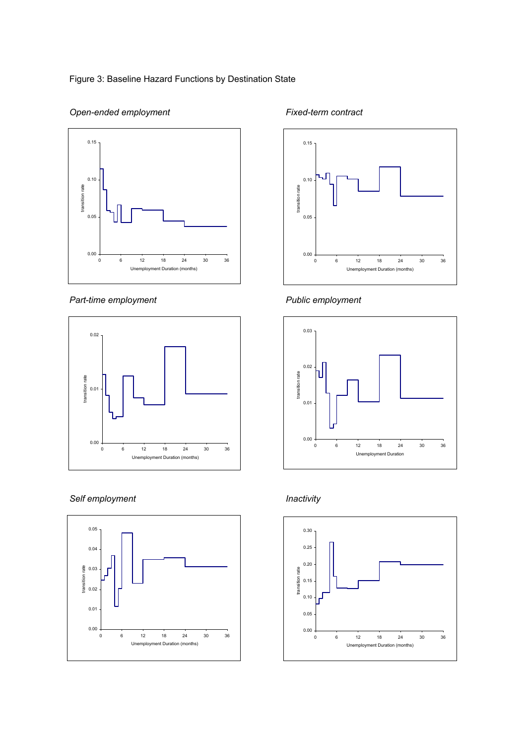#### Figure 3: Baseline Hazard Functions by Destination State



#### **Open-ended employment** Fixed-term contract

#### Part-time employment **Public employment**



#### *Self employment Inactivity*









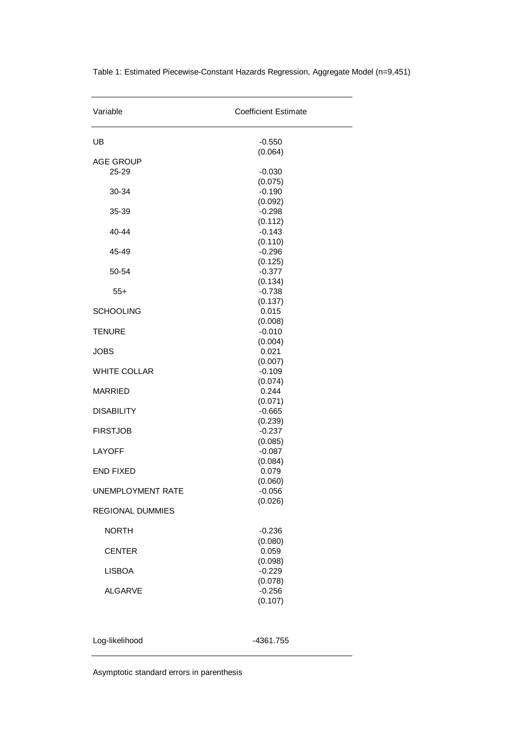| Variable                  | <b>Coefficient Estimate</b> |  |  |
|---------------------------|-----------------------------|--|--|
| UB                        | $-0.550$                    |  |  |
|                           | (0.064)                     |  |  |
| <b>AGE GROUP</b><br>25-29 | $-0.030$                    |  |  |
|                           | (0.075)                     |  |  |
| 30-34                     | $-0.190$                    |  |  |
|                           | (0.092)                     |  |  |
| 35-39                     | $-0.298$                    |  |  |
|                           | (0.112)                     |  |  |
| 40-44                     | $-0.143$<br>(0.110)         |  |  |
| 45-49                     | $-0.296$                    |  |  |
|                           | (0.125)                     |  |  |
| 50-54                     | $-0.377$                    |  |  |
|                           | (0.134)                     |  |  |
| $55+$                     | $-0.738$                    |  |  |
|                           | (0.137)                     |  |  |
| <b>SCHOOLING</b>          | 0.015<br>(0.008)            |  |  |
| <b>TENURE</b>             | $-0.010$                    |  |  |
|                           | (0.004)                     |  |  |
| <b>JOBS</b>               | 0.021                       |  |  |
|                           | (0.007)                     |  |  |
| <b>WHITE COLLAR</b>       | $-0.109$                    |  |  |
| <b>MARRIED</b>            | (0.074)<br>0.244            |  |  |
|                           | (0.071)                     |  |  |
| <b>DISABILITY</b>         | $-0.665$                    |  |  |
|                           | (0.239)                     |  |  |
| <b>FIRSTJOB</b>           | $-0.237$                    |  |  |
|                           | (0.085)                     |  |  |
| <b>LAYOFF</b>             | $-0.087$<br>(0.084)         |  |  |
| <b>END FIXED</b>          | 0.079                       |  |  |
|                           | (0.060)                     |  |  |
| UNEMPLOYMENT RATE         | $-0.056$                    |  |  |
| <b>REGIONAL DUMMIES</b>   | (0.026)                     |  |  |
| <b>NORTH</b>              | $-0.236$                    |  |  |
|                           | (0.080)                     |  |  |
| <b>CENTER</b>             | 0.059                       |  |  |
|                           | (0.098)                     |  |  |
| <b>LISBOA</b>             | $-0.229$                    |  |  |
|                           | (0.078)                     |  |  |
| <b>ALGARVE</b>            | $-0.256$<br>(0.107)         |  |  |
|                           |                             |  |  |
| Log-likelihood            | -4361.755                   |  |  |

Table 1: Estimated Piecewise-Constant Hazards Regression, Aggregate Model (n=9,451)

Asymptotic standard errors in parenthesis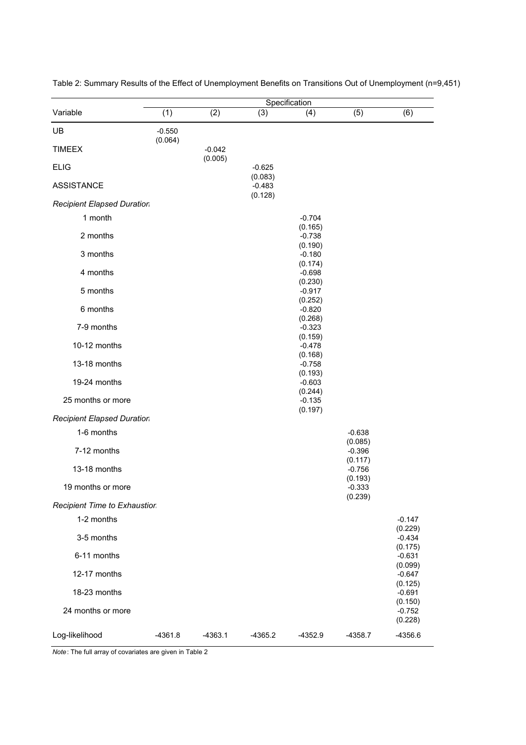|                                   |           |                     |                                | Specification                  |                                |                                |
|-----------------------------------|-----------|---------------------|--------------------------------|--------------------------------|--------------------------------|--------------------------------|
| Variable                          | (1)       | (2)                 | (3)                            | (4)                            | (5)                            | (6)                            |
| UB                                | $-0.550$  |                     |                                |                                |                                |                                |
| <b>TIMEEX</b>                     | (0.064)   | $-0.042$<br>(0.005) |                                |                                |                                |                                |
| <b>ELIG</b>                       |           |                     | $-0.625$                       |                                |                                |                                |
| <b>ASSISTANCE</b>                 |           |                     | (0.083)<br>$-0.483$<br>(0.128) |                                |                                |                                |
| <b>Recipient Elapsed Duration</b> |           |                     |                                |                                |                                |                                |
| 1 month                           |           |                     |                                | $-0.704$<br>(0.165)            |                                |                                |
| 2 months                          |           |                     |                                | $-0.738$                       |                                |                                |
| 3 months                          |           |                     |                                | (0.190)<br>$-0.180$<br>(0.174) |                                |                                |
| 4 months                          |           |                     |                                | $-0.698$                       |                                |                                |
| 5 months                          |           |                     |                                | (0.230)<br>$-0.917$<br>(0.252) |                                |                                |
| 6 months                          |           |                     |                                | $-0.820$                       |                                |                                |
| 7-9 months                        |           |                     |                                | (0.268)<br>$-0.323$<br>(0.159) |                                |                                |
| 10-12 months                      |           |                     |                                | $-0.478$                       |                                |                                |
| 13-18 months                      |           |                     |                                | (0.168)<br>$-0.758$<br>(0.193) |                                |                                |
| 19-24 months                      |           |                     |                                | $-0.603$<br>(0.244)            |                                |                                |
| 25 months or more                 |           |                     |                                | $-0.135$<br>(0.197)            |                                |                                |
| <b>Recipient Elapsed Duration</b> |           |                     |                                |                                |                                |                                |
| 1-6 months                        |           |                     |                                |                                | $-0.638$                       |                                |
| 7-12 months                       |           |                     |                                |                                | (0.085)<br>$-0.396$            |                                |
| 13-18 months                      |           |                     |                                |                                | (0.117)<br>$-0.756$            |                                |
| 19 months or more                 |           |                     |                                |                                | (0.193)<br>$-0.333$<br>(0.239) |                                |
| Recipient Time to Exhaustion      |           |                     |                                |                                |                                |                                |
| 1-2 months                        |           |                     |                                |                                |                                | $-0.147$                       |
| 3-5 months                        |           |                     |                                |                                |                                | (0.229)<br>$-0.434$            |
| 6-11 months                       |           |                     |                                |                                |                                | (0.175)<br>$-0.631$            |
| 12-17 months                      |           |                     |                                |                                |                                | (0.099)<br>$-0.647$            |
| 18-23 months                      |           |                     |                                |                                |                                | (0.125)<br>$-0.691$            |
| 24 months or more                 |           |                     |                                |                                |                                | (0.150)<br>$-0.752$<br>(0.228) |
| Log-likelihood                    | $-4361.8$ | $-4363.1$           | $-4365.2$                      | $-4352.9$                      | $-4358.7$                      | $-4356.6$                      |

Table 2: Summary Results of the Effect of Unemployment Benefits on Transitions Out of Unemployment (n=9,451)

*Note*: The full array of covariates are given in Table 2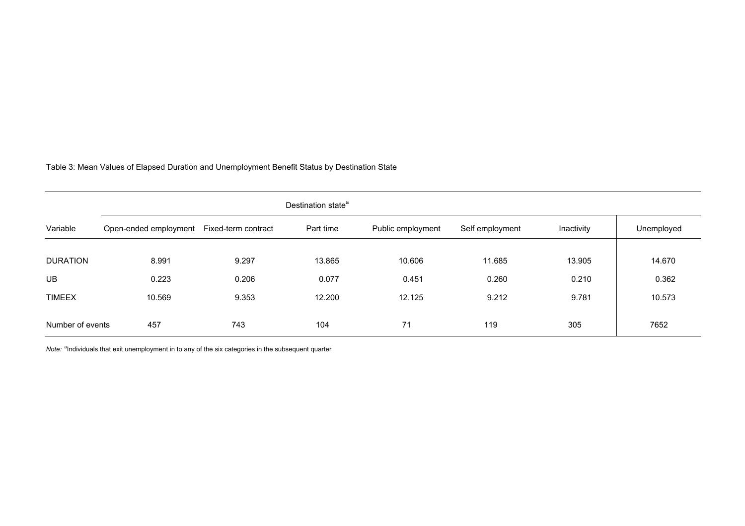Table 3: Mean Values of Elapsed Duration and Unemployment Benefit Status by Destination State

|                  | Destination state <sup>a</sup> |                     |           |                   |                 |            |            |
|------------------|--------------------------------|---------------------|-----------|-------------------|-----------------|------------|------------|
| Variable         | Open-ended employment          | Fixed-term contract | Part time | Public employment | Self employment | Inactivity | Unemployed |
|                  |                                |                     |           |                   |                 |            |            |
| <b>DURATION</b>  | 8.991                          | 9.297               | 13.865    | 10.606            | 11.685          | 13.905     | 14.670     |
| <b>UB</b>        | 0.223                          | 0.206               | 0.077     | 0.451             | 0.260           | 0.210      | 0.362      |
| <b>TIMEEX</b>    | 10.569                         | 9.353               | 12.200    | 12.125            | 9.212           | 9.781      | 10.573     |
|                  |                                |                     |           |                   |                 |            |            |
| Number of events | 457                            | 743                 | 104       | 71                | 119             | 305        | 7652       |

*Note:* <sup>a</sup>Individuals that exit unemployment in to any of the six categories in the subsequent quarter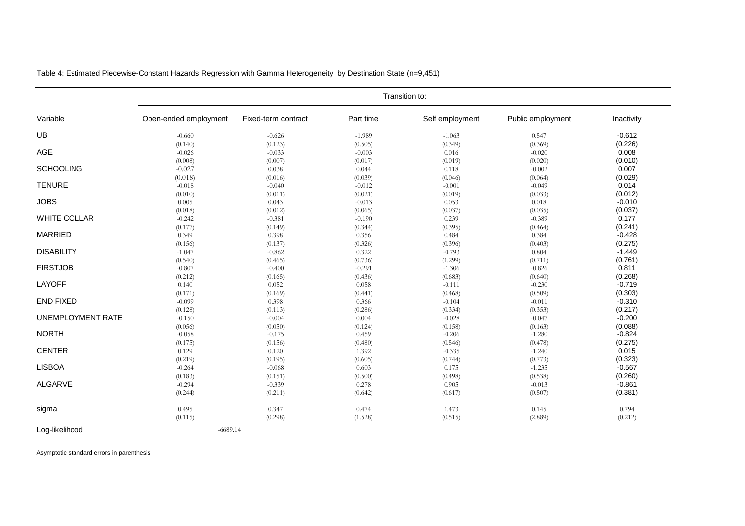|                          | Transition to:              |                             |                             |                             |                             |                             |  |  |
|--------------------------|-----------------------------|-----------------------------|-----------------------------|-----------------------------|-----------------------------|-----------------------------|--|--|
| Variable                 | Open-ended employment       | Fixed-term contract         | Part time                   | Self employment             | Public employment           | Inactivity                  |  |  |
| UB                       | $-0.660$                    | $-0.626$                    | $-1.989$                    | $-1.063$                    | 0.547                       | $-0.612$                    |  |  |
| AGE                      | (0.140)                     | (0.123)                     | (0.505)                     | (0.349)                     | (0.369)                     | (0.226)                     |  |  |
|                          | $-0.026$                    | $-0.033$                    | $-0.003$                    | 0.016                       | $-0.020$                    | 0.008                       |  |  |
| <b>SCHOOLING</b>         | (0.008)                     | (0.007)                     | (0.017)                     | (0.019)                     | (0.020)                     | (0.010)                     |  |  |
|                          | $-0.027$                    | 0.038                       | 0.044                       | 0.118                       | $-0.002$                    | 0.007                       |  |  |
| <b>TENURE</b>            | (0.018)                     | (0.016)                     | (0.039)                     | (0.046)                     | (0.064)                     | (0.029)                     |  |  |
|                          | $-0.018$                    | $-0.040$                    | $-0.012$                    | $-0.001$                    | $-0.049$                    | 0.014                       |  |  |
| <b>JOBS</b>              | (0.010)                     | (0.011)                     | (0.021)                     | (0.019)                     | (0.033)                     | (0.012)                     |  |  |
|                          | 0.005                       | 0.043                       | $-0.013$                    | 0.053                       | 0.018                       | $-0.010$                    |  |  |
| <b>WHITE COLLAR</b>      | (0.018)<br>$-0.242$         | (0.012)<br>$-0.381$         | (0.065)<br>$-0.190$         | (0.037)<br>0.239            | (0.035)<br>$-0.389$         | (0.037)<br>0.177<br>(0.241) |  |  |
| <b>MARRIED</b>           | (0.177)<br>0.349<br>(0.156) | (0.149)<br>0.398<br>(0.137) | (0.344)<br>0.356<br>(0.326) | (0.395)<br>0.484<br>(0.396) | (0.464)<br>0.384<br>(0.403) | $-0.428$<br>(0.275)         |  |  |
| <b>DISABILITY</b>        | $-1.047$                    | $-0.862$                    | 0.322                       | $-0.793$                    | 0.804                       | $-1.449$                    |  |  |
|                          | (0.540)                     | (0.465)                     | (0.736)                     | (1.299)                     | (0.711)                     | (0.761)                     |  |  |
| <b>FIRSTJOB</b>          | $-0.807$                    | $-0.400$                    | $-0.291$                    | $-1.306$                    | $-0.826$                    | 0.811                       |  |  |
|                          | (0.212)                     | (0.165)                     | (0.436)                     | (0.683)                     | (0.640)                     | (0.268)                     |  |  |
| LAYOFF                   | 0.140                       | 0.052                       | 0.058                       | $-0.111$                    | $-0.230$                    | $-0.719$                    |  |  |
|                          | (0.171)                     | (0.169)                     | (0.441)                     | (0.468)                     | (0.509)                     | (0.303)                     |  |  |
| <b>END FIXED</b>         | $-0.099$                    | 0.398                       | 0.366                       | $-0.104$                    | $-0.011$                    | $-0.310$                    |  |  |
|                          | (0.128)                     | (0.113)                     | (0.286)                     | (0.334)                     | (0.353)                     | (0.217)                     |  |  |
| <b>UNEMPLOYMENT RATE</b> | $-0.150$                    | $-0.004$                    | 0.004                       | $-0.028$                    | $-0.047$                    | $-0.200$                    |  |  |
|                          | (0.056)                     | (0.050)                     | (0.124)                     | (0.158)                     | (0.163)                     | (0.088)                     |  |  |
| <b>NORTH</b>             | $-0.058$                    | $-0.175$                    | 0.459                       | $-0.206$                    | $-1.280$                    | $-0.824$                    |  |  |
|                          | (0.175)                     | (0.156)                     | (0.480)                     | (0.546)                     | (0.478)                     | (0.275)                     |  |  |
| <b>CENTER</b>            | 0.129                       | 0.120                       | 1.392                       | $-0.335$                    | $-1.240$                    | 0.015                       |  |  |
|                          | (0.219)                     | (0.195)                     | (0.605)                     | (0.744)                     | (0.773)                     | (0.323)                     |  |  |
| <b>LISBOA</b>            | $-0.264$                    | $-0.068$                    | 0.603                       | 0.175                       | $-1.235$                    | $-0.567$                    |  |  |
|                          | (0.183)                     | (0.151)                     | (0.500)                     | (0.498)                     | (0.538)                     | (0.260)                     |  |  |
| <b>ALGARVE</b>           | $-0.294$                    | $-0.339$                    | 0.278                       | 0.905                       | $-0.013$                    | $-0.861$                    |  |  |
|                          | (0.244)                     | (0.211)                     | (0.642)                     | (0.617)                     | (0.507)                     | (0.381)                     |  |  |
| sigma                    | 0.495                       | 0.347                       | 0.474                       | 1.473                       | 0.145                       | 0.794                       |  |  |
|                          | (0.115)                     | (0.298)                     | (1.528)                     | (0.515)                     | (2.889)                     | (0.212)                     |  |  |
| Log-likelihood           | $-6689.14$                  |                             |                             |                             |                             |                             |  |  |

Table 4: Estimated Piecewise-Constant Hazards Regression with Gamma Heterogeneity by Destination State (n=9,451)

Asymptotic standard errors in parenthesis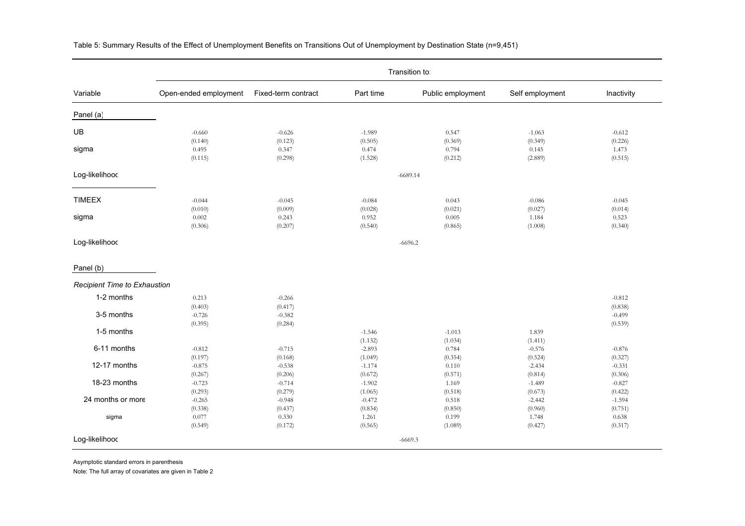|                              | Transition to:        |                     |           |                   |                 |            |  |  |
|------------------------------|-----------------------|---------------------|-----------|-------------------|-----------------|------------|--|--|
| Variable                     | Open-ended employment | Fixed-term contract | Part time | Public employment | Self employment | Inactivity |  |  |
| Panel (a)                    |                       |                     |           |                   |                 |            |  |  |
| UB                           | $-0.660$              | $-0.626$            | $-1.989$  | 0.547             | $-1.063$        | $-0.612$   |  |  |
|                              | (0.140)               | (0.123)             | (0.505)   | (0.369)           | (0.349)         | (0.226)    |  |  |
| sigma                        | 0.495                 | 0.347               | 0.474     | 0.794             | 0.145           | 1.473      |  |  |
|                              | (0.115)               | (0.298)             | (1.528)   | (0.212)           | (2.889)         | (0.515)    |  |  |
| Log-likelihood               |                       |                     |           | $-6689.14$        |                 |            |  |  |
|                              |                       |                     |           |                   |                 |            |  |  |
| <b>TIMEEX</b>                | $-0.044$              | $-0.045$            | $-0.084$  | 0.043             | $-0.086$        | $-0.045$   |  |  |
|                              | (0.010)               | (0.009)             | (0.028)   | (0.021)           | (0.027)         | (0.014)    |  |  |
| sigma                        | 0.002                 | 0.243               | 0.952     | 0.005             | 1.184           | 0.523      |  |  |
|                              | (0.306)               | (0.207)             | (0.540)   | (0.865)           | (1.008)         | (0.340)    |  |  |
| Log-likelihood               |                       |                     |           | $-6696.2$         |                 |            |  |  |
| Panel (b)                    |                       |                     |           |                   |                 |            |  |  |
| Recipient Time to Exhaustion |                       |                     |           |                   |                 |            |  |  |
| 1-2 months                   | 0.213                 | $-0.266$            |           |                   |                 | $-0.812$   |  |  |
|                              | (0.403)               | (0.417)             |           |                   |                 | (0.838)    |  |  |
| 3-5 months                   | $-0.726$              | $-0.382$            |           |                   |                 | $-0.499$   |  |  |
|                              | (0.395)               | (0.284)             |           |                   |                 | (0.539)    |  |  |
| 1-5 months                   |                       |                     | $-1.546$  | $-1.013$          | 1.839           |            |  |  |
|                              |                       |                     | (1.132)   | (1.034)           | (1.411)         |            |  |  |
| 6-11 months                  | $-0.812$              | $-0.715$            | $-2.893$  | 0.784             | $-0.576$        | $-0.876$   |  |  |
|                              | (0.197)               | (0.168)             | (1.049)   | (0.354)           | (0.524)         | (0.327)    |  |  |
| 12-17 months                 | $-0.875$              | $-0.538$            | $-1.174$  | 0.110             | $-2.434$        | $-0.331$   |  |  |
|                              | (0.267)               | (0.206)             | (0.672)   | (0.571)           | (0.814)         | (0.306)    |  |  |
| 18-23 months                 | $-0.723$              | $-0.714$            | $-1.902$  | 1.169             | $-1.489$        | $-0.827$   |  |  |
|                              | (0.293)               | (0.279)             | (1.065)   | (0.518)           | (0.673)         | (0.422)    |  |  |
| 24 months or more            | $-0.265$              | $-0.948$            | $-0.472$  | 0.518             | $-2.442$        | $-1.594$   |  |  |
|                              | (0.338)               | (0.437)             | (0.834)   | (0.850)           | (0.960)         | (0.751)    |  |  |
| sigma                        | 0.077                 | 0.330               | 1.261     | 0.199             | 1.748           | 0.638      |  |  |
|                              | (0.549)               | (0.172)             | (0.565)   | (1.089)           | (0.427)         | (0.317)    |  |  |
| Log-likelihood               |                       |                     |           | $-6669.3$         |                 |            |  |  |

Table 5: Summary Results of the Effect of Unemployment Benefits on Transitions Out of Unemployment by Destination State (n=9,451)

Asymptotic standard errors in parenthesis

Note: The full array of covariates are given in Table 2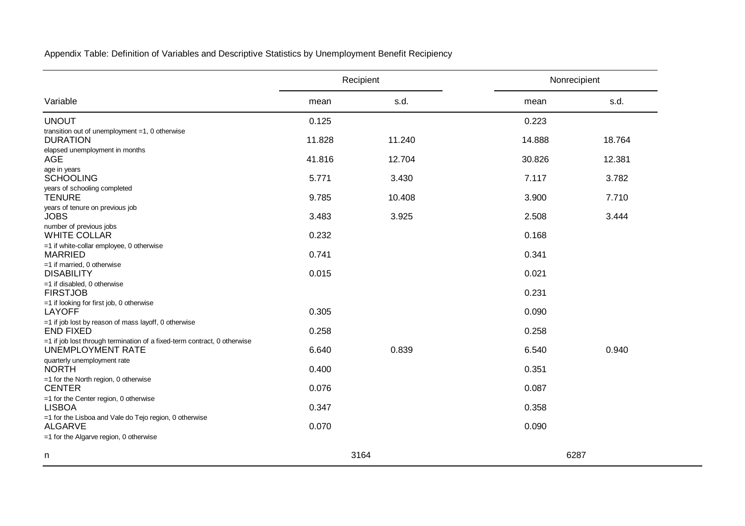Appendix Table: Definition of Variables and Descriptive Statistics by Unemployment Benefit Recipiency

|                                                                                                      |        | Recipient | Nonrecipient |        |  |
|------------------------------------------------------------------------------------------------------|--------|-----------|--------------|--------|--|
| Variable                                                                                             | mean   | s.d.      | mean         | s.d.   |  |
| <b>UNOUT</b>                                                                                         | 0.125  |           | 0.223        |        |  |
| transition out of unemployment $=1$ , 0 otherwise<br><b>DURATION</b>                                 | 11.828 | 11.240    | 14.888       | 18.764 |  |
| elapsed unemployment in months<br><b>AGE</b>                                                         | 41.816 | 12.704    | 30.826       | 12.381 |  |
| age in years<br><b>SCHOOLING</b>                                                                     | 5.771  | 3.430     | 7.117        | 3.782  |  |
| years of schooling completed<br><b>TENURE</b>                                                        | 9.785  | 10.408    | 3.900        | 7.710  |  |
| years of tenure on previous job<br><b>JOBS</b>                                                       | 3.483  | 3.925     | 2.508        | 3.444  |  |
| number of previous jobs<br><b>WHITE COLLAR</b>                                                       | 0.232  |           | 0.168        |        |  |
| $=$ 1 if white-collar employee, 0 otherwise<br><b>MARRIED</b>                                        | 0.741  |           | 0.341        |        |  |
| $=1$ if married, 0 otherwise<br><b>DISABILITY</b>                                                    | 0.015  |           | 0.021        |        |  |
| $=1$ if disabled, 0 otherwise<br><b>FIRSTJOB</b>                                                     |        |           | 0.231        |        |  |
| =1 if looking for first job, 0 otherwise<br><b>LAYOFF</b>                                            | 0.305  |           | 0.090        |        |  |
| =1 if job lost by reason of mass layoff, 0 otherwise<br><b>END FIXED</b>                             | 0.258  |           | 0.258        |        |  |
| =1 if job lost through termination of a fixed-term contract, 0 otherwise<br><b>UNEMPLOYMENT RATE</b> | 6.640  | 0.839     | 6.540        | 0.940  |  |
| quarterly unemployment rate<br><b>NORTH</b>                                                          | 0.400  |           | 0.351        |        |  |
| =1 for the North region, 0 otherwise<br><b>CENTER</b>                                                | 0.076  |           | 0.087        |        |  |
| =1 for the Center region, 0 otherwise<br><b>LISBOA</b>                                               | 0.347  |           | 0.358        |        |  |
| =1 for the Lisboa and Vale do Tejo region, 0 otherwise<br><b>ALGARVE</b>                             | 0.070  |           | 0.090        |        |  |
| $=$ 1 for the Algarve region, 0 otherwise                                                            |        |           |              |        |  |
| n                                                                                                    |        | 3164      | 6287         |        |  |